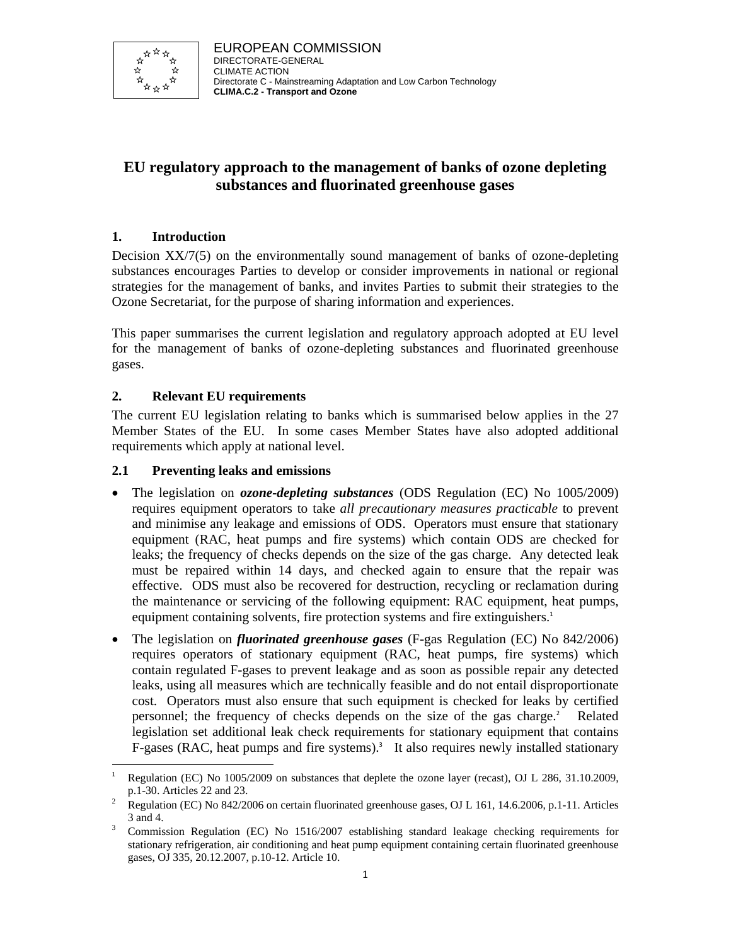

# **EU regulatory approach to the management of banks of ozone depleting substances and fluorinated greenhouse gases**

# **1. Introduction**

Decision XX/7(5) on the environmentally sound management of banks of ozone-depleting substances encourages Parties to develop or consider improvements in national or regional strategies for the management of banks, and invites Parties to submit their strategies to the Ozone Secretariat, for the purpose of sharing information and experiences.

This paper summarises the current legislation and regulatory approach adopted at EU level for the management of banks of ozone-depleting substances and fluorinated greenhouse gases.

# **2. Relevant EU requirements**

The current EU legislation relating to banks which is summarised below applies in the 27 Member States of the EU. In some cases Member States have also adopted additional requirements which apply at national level.

# **2.1 Preventing leaks and emissions**

- The legislation on *ozone-depleting substances* (ODS Regulation (EC) No 1005/2009) requires equipment operators to take *all precautionary measures practicable* to prevent and minimise any leakage and emissions of ODS. Operators must ensure that stationary equipment (RAC, heat pumps and fire systems) which contain ODS are checked for leaks; the frequency of checks depends on the size of the gas charge. Any detected leak must be repaired within 14 days, and checked again to ensure that the repair was effective. ODS must also be recovered for destruction, recycling or reclamation during the maintenance or servicing of the following equipment: RAC equipment, heat pumps, equipment containing solvents, fire protection systems and fire extinguishers.<sup>1</sup>
- The legislation on *fluorinated greenhouse gases* (F-gas Regulation (EC) No 842/2006) requires operators of stationary equipment (RAC, heat pumps, fire systems) which contain regulated F-gases to prevent leakage and as soon as possible repair any detected leaks, using all measures which are technically feasible and do not entail disproportionate cost. Operators must also ensure that such equipment is checked for leaks by certified personnel; the frequency of checks depends on the size of the gas charge.<sup>2</sup> Related legislation set additional leak check requirements for stationary equipment that contains F-gases (RAC, heat pumps and fire systems).<sup>3</sup> It also requires newly installed stationary

<sup>-</sup>1 Regulation (EC) No 1005/2009 on substances that deplete the ozone layer (recast), OJ L 286, 31.10.2009, p.1-30. Articles 22 and 23.<br>Pequation (EC) No. 842/20

Regulation (EC) No 842/2006 on certain fluorinated greenhouse gases, OJ L 161, 14.6.2006, p.1-11. Articles  $3$  and 4.

Commission Regulation (EC) No 1516/2007 establishing standard leakage checking requirements for stationary refrigeration, air conditioning and heat pump equipment containing certain fluorinated greenhouse gases, OJ 335, 20.12.2007, p.10-12. Article 10.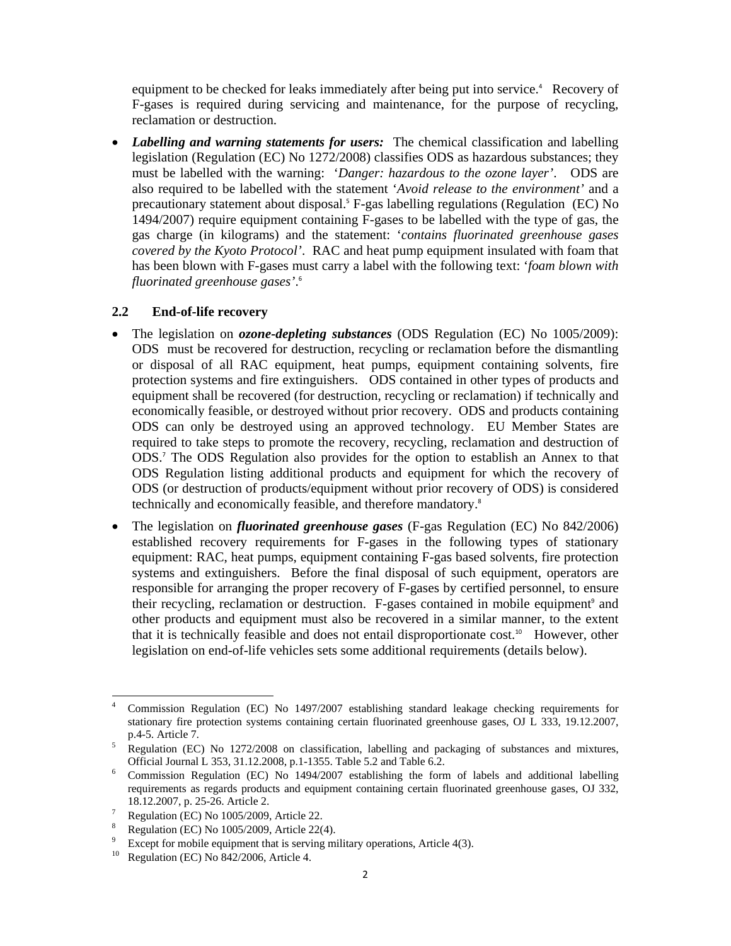equipment to be checked for leaks immediately after being put into service.<sup>4</sup> Recovery of F-gases is required during servicing and maintenance, for the purpose of recycling, reclamation or destruction.

• *Labelling and warning statements for users:* The chemical classification and labelling legislation (Regulation (EC) No 1272/2008) classifies ODS as hazardous substances; they must be labelled with the warning: '*Danger: hazardous to the ozone layer'*. ODS are also required to be labelled with the statement '*Avoid release to the environment'* and a precautionary statement about disposal.<sup>5</sup> F-gas labelling regulations (Regulation (EC) No 1494/2007) require equipment containing F-gases to be labelled with the type of gas, the gas charge (in kilograms) and the statement: '*contains fluorinated greenhouse gases covered by the Kyoto Protocol'*. RAC and heat pump equipment insulated with foam that has been blown with F-gases must carry a label with the following text: '*foam blown with fluorinated greenhouse gases'*. 6

#### **2.2 End-of-life recovery**

- The legislation on *ozone-depleting substances* (ODS Regulation (EC) No 1005/2009): ODS must be recovered for destruction, recycling or reclamation before the dismantling or disposal of all RAC equipment, heat pumps, equipment containing solvents, fire protection systems and fire extinguishers. ODS contained in other types of products and equipment shall be recovered (for destruction, recycling or reclamation) if technically and economically feasible, or destroyed without prior recovery. ODS and products containing ODS can only be destroyed using an approved technology. EU Member States are required to take steps to promote the recovery, recycling, reclamation and destruction of ODS.<sup>7</sup> The ODS Regulation also provides for the option to establish an Annex to that ODS Regulation listing additional products and equipment for which the recovery of ODS (or destruction of products/equipment without prior recovery of ODS) is considered technically and economically feasible, and therefore mandatory.<sup>8</sup>
- The legislation on *fluorinated greenhouse gases* (F-gas Regulation (EC) No 842/2006) established recovery requirements for F-gases in the following types of stationary equipment: RAC, heat pumps, equipment containing F-gas based solvents, fire protection systems and extinguishers. Before the final disposal of such equipment, operators are responsible for arranging the proper recovery of F-gases by certified personnel, to ensure their recycling, reclamation or destruction. F-gases contained in mobile equipment<sup>9</sup> and other products and equipment must also be recovered in a similar manner, to the extent that it is technically feasible and does not entail disproportionate cost.<sup>10</sup> However, other legislation on end-of-life vehicles sets some additional requirements (details below).

<sup>-</sup>4 Commission Regulation (EC) No 1497/2007 establishing standard leakage checking requirements for stationary fire protection systems containing certain fluorinated greenhouse gases, OJ L 333, 19.12.2007,  $p.4-5$ . Article 7.

Regulation (EC) No 1272/2008 on classification, labelling and packaging of substances and mixtures, Official Journal L 353, 31.12.2008, p.1-1355. Table 5.2 and Table 6.2.<br> **Commission** Results in CC) No. 1404/2007, establishing the form

Commission Regulation (EC) No 1494/2007 establishing the form of labels and additional labelling requirements as regards products and equipment containing certain fluorinated greenhouse gases, OJ 332, 18.12.2007, p. 25-26. Article 2. 7

Regulation (EC) No 1005/2009, Article 22.

<sup>8</sup> Regulation (EC) No 1005/2009, Article 22(4).

<sup>9</sup> <sup>9</sup> Except for mobile equipment that is serving military operations, Article 4(3).<br><sup>10</sup> Pequlation (EC) No. 842/2006, Article 4.

Regulation (EC) No 842/2006, Article 4.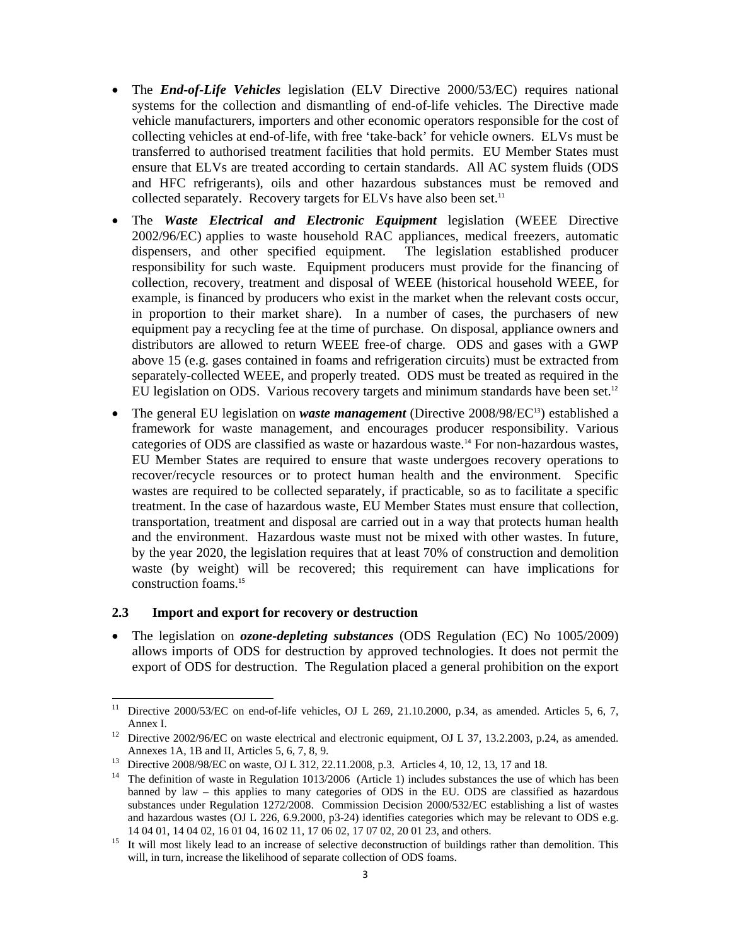- The *End-of-Life Vehicles* legislation (ELV Directive 2000/53/EC) requires national systems for the collection and dismantling of end-of-life vehicles. The Directive made vehicle manufacturers, importers and other economic operators responsible for the cost of collecting vehicles at end-of-life, with free 'take-back' for vehicle owners. ELVs must be transferred to authorised treatment facilities that hold permits. EU Member States must ensure that ELVs are treated according to certain standards. All AC system fluids (ODS and HFC refrigerants), oils and other hazardous substances must be removed and collected separately. Recovery targets for ELVs have also been set.<sup>11</sup>
- The *Waste Electrical and Electronic Equipment* legislation (WEEE Directive 2002/96/EC) applies to waste household RAC appliances, medical freezers, automatic dispensers, and other specified equipment. The legislation established producer responsibility for such waste. Equipment producers must provide for the financing of collection, recovery, treatment and disposal of WEEE (historical household WEEE, for example, is financed by producers who exist in the market when the relevant costs occur, in proportion to their market share). In a number of cases, the purchasers of new equipment pay a recycling fee at the time of purchase. On disposal, appliance owners and distributors are allowed to return WEEE free-of charge. ODS and gases with a GWP above 15 (e.g. gases contained in foams and refrigeration circuits) must be extracted from separately-collected WEEE, and properly treated. ODS must be treated as required in the EU legislation on ODS. Various recovery targets and minimum standards have been set.<sup>12</sup>
- The general EU legislation on *waste management* (Directive 2008/98/EC<sup>13</sup>) established a framework for waste management, and encourages producer responsibility. Various categories of ODS are classified as waste or hazardous waste.<sup>14</sup> For non-hazardous wastes, EU Member States are required to ensure that waste undergoes recovery operations to recover/recycle resources or to protect human health and the environment. Specific wastes are required to be collected separately, if practicable, so as to facilitate a specific treatment. In the case of hazardous waste, EU Member States must ensure that collection, transportation, treatment and disposal are carried out in a way that protects human health and the environment. Hazardous waste must not be mixed with other wastes. In future, by the year 2020, the legislation requires that at least 70% of construction and demolition waste (by weight) will be recovered; this requirement can have implications for construction foams.<sup>15</sup>

#### **2.3 Import and export for recovery or destruction**

• The legislation on *ozone-depleting substances* (ODS Regulation (EC) No 1005/2009) allows imports of ODS for destruction by approved technologies. It does not permit the export of ODS for destruction. The Regulation placed a general prohibition on the export

 $11$ 11 Directive 2000/53/EC on end-of-life vehicles, OJ L 269, 21.10.2000, p.34, as amended. Articles 5, 6, 7, Annex I.<br><sup>12</sup> Directive 2002/96/EC on waste electrical and electronic equipment, OJ L 37, 13.2.2003, p.24, as amended.

Annexes 1A, 1B and II, Articles 5, 6, 7, 8, 9.<br><sup>13</sup> Directive 2008/98/EC on waste, OJ L 312, 22.11.2008, p.3. Articles 4, 10, 12, 13, 17 and 18.<br><sup>14</sup> The definition of waste in Besultsting 1012/2006. (Article 1) includes s

The definition of waste in Regulation 1013/2006 (Article 1) includes substances the use of which has been banned by law – this applies to many categories of ODS in the EU. ODS are classified as hazardous substances under Regulation 1272/2008. Commission Decision 2000/532/EC establishing a list of wastes and hazardous wastes (OJ L 226, 6.9.2000, p3-24) identifies categories which may be relevant to ODS e.g. 14 04 01, 14 04 02, 16 01 04, 16 02 11, 17 06 02, 17 07 02, 20 01 23, and others.<br>It will most likely lead to an increase of selective deconstruction of buildings rather than demolition. This

will, in turn, increase the likelihood of separate collection of ODS foams.